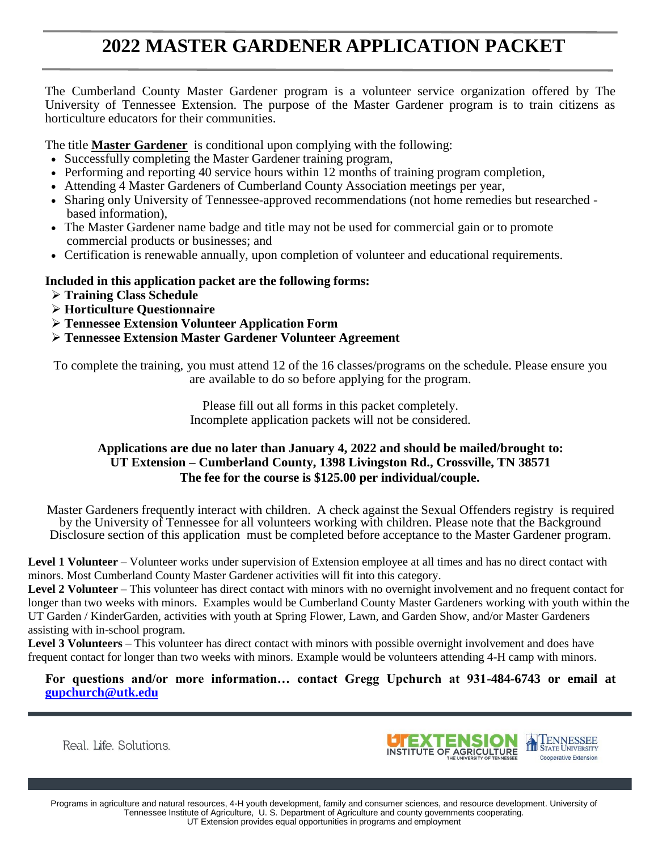## **2022 MASTER GARDENER APPLICATION PACKET**

The Cumberland County Master Gardener program is a volunteer service organization offered by The University of Tennessee Extension. The purpose of the Master Gardener program is to train citizens as horticulture educators for their communities.

The title **Master Gardener** is conditional upon complying with the following:

- Successfully completing the Master Gardener training program,
- Performing and reporting 40 service hours within 12 months of training program completion,
- Attending 4 Master Gardeners of Cumberland County Association meetings per year,
- Sharing only University of Tennessee-approved recommendations (not home remedies but researched based information),
- The Master Gardener name badge and title may not be used for commercial gain or to promote commercial products or businesses; and
- Certification is renewable annually, upon completion of volunteer and educational requirements.

#### **Included in this application packet are the following forms:**

- ➢ **Training Class Schedule**
- ➢ **Horticulture Questionnaire**
- ➢ **Tennessee Extension Volunteer Application Form**
- ➢ **Tennessee Extension Master Gardener Volunteer Agreement**

To complete the training, you must attend 12 of the 16 classes/programs on the schedule. Please ensure you are available to do so before applying for the program.

> Please fill out all forms in this packet completely. Incomplete application packets will not be considered.

#### **Applications are due no later than January 4, 2022 and should be mailed/brought to: UT Extension – Cumberland County, 1398 Livingston Rd., Crossville, TN 38571 The fee for the course is \$125.00 per individual/couple.**

Master Gardeners frequently interact with children. A check against the Sexual Offenders registry is required by the University of Tennessee for all volunteers working with children. Please note that the Background Disclosure section of this application must be completed before acceptance to the Master Gardener program.

**Level 1 Volunteer** – Volunteer works under supervision of Extension employee at all times and has no direct contact with minors. Most Cumberland County Master Gardener activities will fit into this category.

**Level 2 Volunteer** – This volunteer has direct contact with minors with no overnight involvement and no frequent contact for longer than two weeks with minors. Examples would be Cumberland County Master Gardeners working with youth within the UT Garden / KinderGarden, activities with youth at Spring Flower, Lawn, and Garden Show, and/or Master Gardeners assisting with in-school program.

**Level 3 Volunteers** – This volunteer has direct contact with minors with possible overnight involvement and does have frequent contact for longer than two weeks with minors. Example would be volunteers attending 4-H camp with minors.

**For questions and/or more information… contact Gregg Upchurch at 931-484-6743 or email at [gupchurch@utk.edu](mailto:gupchurch@utk.edu)**

Real. Life. Solutions.

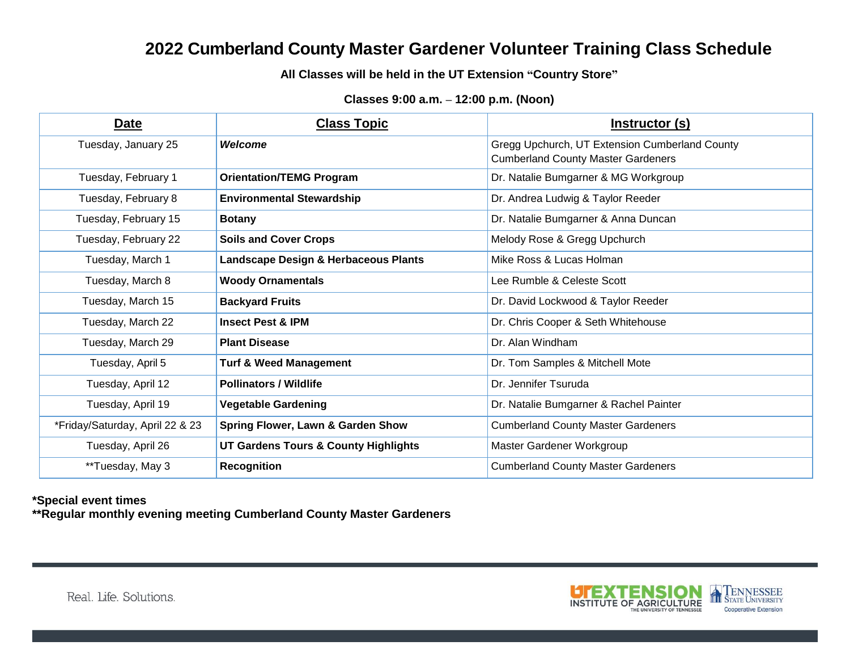## **2022 Cumberland County Master Gardener Volunteer Training Class Schedule**

**All Classes will be held in the UT Extension "Country Store"**

#### **Classes 9:00 a.m. – 12:00 p.m. (Noon)**

| Date                            | <b>Class Topic</b>                           | <u>Instructor (s)</u>                          |
|---------------------------------|----------------------------------------------|------------------------------------------------|
| Tuesday, January 25             | <b>Welcome</b>                               | Gregg Upchurch, UT Extension Cumberland County |
|                                 |                                              | <b>Cumberland County Master Gardeners</b>      |
| Tuesday, February 1             | <b>Orientation/TEMG Program</b>              | Dr. Natalie Bumgarner & MG Workgroup           |
| Tuesday, February 8             | <b>Environmental Stewardship</b>             | Dr. Andrea Ludwig & Taylor Reeder              |
| Tuesday, February 15            | <b>Botany</b>                                | Dr. Natalie Bumgarner & Anna Duncan            |
| Tuesday, February 22            | <b>Soils and Cover Crops</b>                 | Melody Rose & Gregg Upchurch                   |
| Tuesday, March 1                | Landscape Design & Herbaceous Plants         | Mike Ross & Lucas Holman                       |
| Tuesday, March 8                | <b>Woody Ornamentals</b>                     | Lee Rumble & Celeste Scott                     |
| Tuesday, March 15               | <b>Backyard Fruits</b>                       | Dr. David Lockwood & Taylor Reeder             |
| Tuesday, March 22               | <b>Insect Pest &amp; IPM</b>                 | Dr. Chris Cooper & Seth Whitehouse             |
| Tuesday, March 29               | <b>Plant Disease</b>                         | Dr. Alan Windham                               |
| Tuesday, April 5                | <b>Turf &amp; Weed Management</b>            | Dr. Tom Samples & Mitchell Mote                |
| Tuesday, April 12               | <b>Pollinators / Wildlife</b>                | Dr. Jennifer Tsuruda                           |
| Tuesday, April 19               | <b>Vegetable Gardening</b>                   | Dr. Natalie Bumgarner & Rachel Painter         |
| *Friday/Saturday, April 22 & 23 | <b>Spring Flower, Lawn &amp; Garden Show</b> | <b>Cumberland County Master Gardeners</b>      |
| Tuesday, April 26               | UT Gardens Tours & County Highlights         | Master Gardener Workgroup                      |
| **Tuesday, May 3                | <b>Recognition</b>                           | <b>Cumberland County Master Gardeners</b>      |

#### **\*Special event times**

**\*\*Regular monthly evening meeting Cumberland County Master Gardeners**